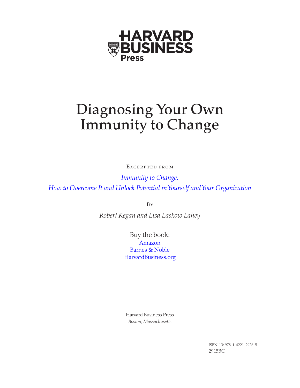

# **Diagnosing Your Own Immunity to Change**

Excerpted from

*[Immunity to Change:](http://harvardbusinessonline.hbsp.harvard.edu/b01/en/common/item_detail.jhtml;jsessionid=OFIBGOV4D0FJOAKRGWDSELQBKE0YIISW?id=1736&_requestid=8634) [How to Overcome It and Unlock Potential in Yourself and Your Organization](http://harvardbusinessonline.hbsp.harvard.edu/b01/en/common/item_detail.jhtml;jsessionid=OFIBGOV4D0FJOAKRGWDSELQBKE0YIISW?id=1736&_requestid=8634)*

By

*Robert Kegan and Lisa Laskow Lahey*

Buy the book: [Amazon](http://www.amazon.com/gp/product/1422117367?ie=UTF8&tag=harvabusin-20&linkCode=as2&camp=1789&creative=9325&creativeASIN=1422117367) [Barnes & Noble](http://search.barnesandnoble.com/Immunity-to-Change/Robert-Kegan/e/9781422117361/?itm=1) [HarvardBusiness.org](http://harvardbusinessonline.hbsp.harvard.edu/b01/en/common/item_detail.jhtml;jsessionid=OFIBGOV4D0FJOAKRGWDSELQBKE0YIISW?id=1736&_requestid=8634)

Harvard Business Press *Boston, Massachusetts*

> ISBN-13: 978-1-4221-2926-5 2915BC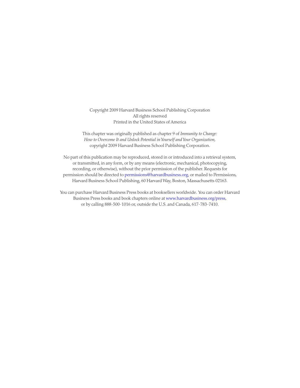Copyright 2009 Harvard Business School Publishing Corporation All rights reserved Printed in the United States of America

This chapter was originally published as chapter 9 of *Immunity to Change: How to Overcome It and Unlock Potential in Yourself and Your Organization*, copyright 2009 Harvard Business School Publishing Corporation.

No part of this publication may be reproduced, stored in or introduced into a retrieval system, or transmitted, in any form, or by any means (electronic, mechanical, photocopying, recording, or otherwise), without the prior permission of the publisher. Requests for permission should be directed to permissions@harvardbusiness.org, or mailed to Permissions, Harvard Business School Publishing, 60 Harvard Way, Boston, Massachusetts 02163.

You can purchase Harvard Business Press books at booksellers worldwide. You can order Harvard Business Press books and book chapters online at www.harvardbusiness.org/press, or by calling 888-500-1016 or, outside the U.S. and Canada, 617-783-7410.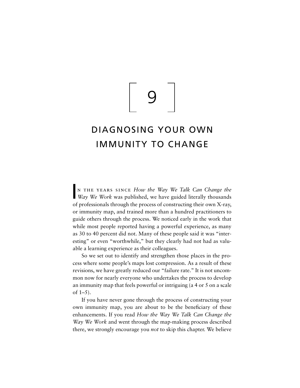9

## DIAGNOSING YOUR OWN IMMUNITY TO CHANGE

I n the years since *How the Way We Talk Can Change the Way We Work* was published, we have guided literally thousands of professionals through the process of constructing their own X-ray, or immunity map, and trained more than a hundred practitioners to guide others through the process. We noticed early in the work that while most people reported having a powerful experience, as many as 30 to 40 percent did not. Many of these people said it was "interesting" or even "worthwhile," but they clearly had not had as valuable a learning experience as their colleagues.

So we set out to identify and strengthen those places in the process where some people's maps lost compression. As a result of these revisions, we have greatly reduced our "failure rate." It is not uncommon now for nearly everyone who undertakes the process to develop an immunity map that feels powerful or intriguing (a 4 or 5 on a scale of 1–5).

If you have never gone through the process of constructing your own immunity map, you are about to be the beneficiary of these enhancements. If you read *How the Way We Talk Can Change the Way We Work* and went through the map-making process described there, we strongly encourage you *not* to skip this chapter. We believe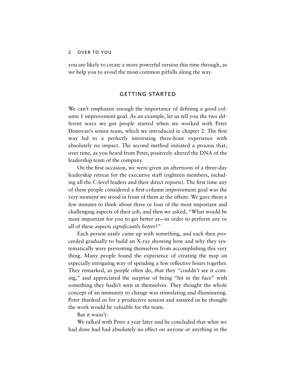you are likely to create a more powerful version this time through, as we help you to avoid the most common pitfalls along the way.

#### GETTING STARTED

We can't emphasize enough the importance of defining a good column 1 improvement goal. As an example, let us tell you the two different ways we got people started when we worked with Peter Donovan's senior team, which we introduced in chapter 2. The first way led to a perfectly interesting three-hour experience with absolutely no impact. The second method initiated a process that, over time, as you heard from Peter, positively altered the DNA of the leadership team of the company.

On the first occasion, we were given an afternoon of a three-day leadership retreat for the executive staff (eighteen members, including all the C-level leaders and their direct reports). The first time any of these people considered a first-column improvement goal was the very moment we stood in front of them at the offsite. We gave them a few minutes to think about three or four of the most important and challenging aspects of their job, and then we asked, "What would be most important for you to get better at—in order to perform any or all of these aspects *significantly better*?"

Each person easily came up with something, and each then proceeded gradually to build an X-ray showing how and why they systematically were preventing themselves from accomplishing this very thing. Many people found the experience of creating the map an especially intriguing way of spending a few reflective hours together. They remarked, as people often do, that they "couldn't see it coming," and appreciated the surprise of being "hit in the face" with something they hadn't seen in themselves. They thought the whole concept of an immunity to change was stimulating and illuminating. Peter thanked us for a productive session and assured us he thought the work would be valuable for the team.

But it wasn't.

We talked with Peter a year later and he concluded that what we had done had had absolutely no effect on anyone or anything in the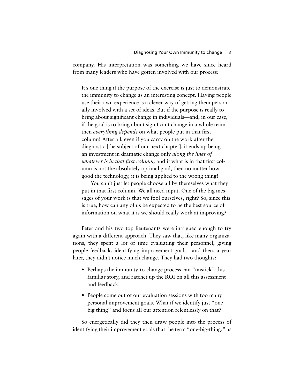company. His interpretation was something we have since heard from many leaders who have gotten involved with our process:

It's one thing if the purpose of the exercise is just to demonstrate the immunity to change as an interesting concept. Having people use their own experience is a clever way of getting them personally involved with a set of ideas. But if the purpose is really to bring about significant change in individuals—and, in our case, if the goal is to bring about significant change in a whole team then *everything depends* on what people put in that first column! After all, even if you carry on the work after the diagnostic [the subject of our next chapter], it ends up being an investment in dramatic change only *along the lines of whatever is in that first column,* and if what is in that first column is not the absolutely optimal goal, then no matter how good the technology, it is being applied to the wrong thing!

You can't just let people choose all by themselves what they put in that first column. We all need input. One of the big messages of your work is that we fool ourselves, right? So, since this is true, how can any of us be expected to be the best source of information on what it is we should really work at improving?

Peter and his two top lieutenants were intrigued enough to try again with a different approach. They saw that, like many organizations, they spent a lot of time evaluating their personnel, giving people feedback, identifying improvement goals—and then, a year later, they didn't notice much change. They had two thoughts:

- Perhaps the immunity-to-change process can "unstick" this familiar story, and ratchet up the ROI on all this assessment and feedback.
- People come out of our evaluation sessions with too many personal improvement goals. What if we identify just "one big thing" and focus all our attention relentlessly on that?

So energetically did they then draw people into the process of identifying their improvement goals that the term "one-big-thing," as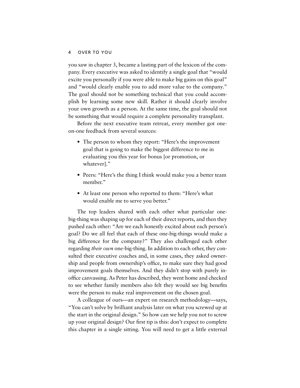you saw in chapter 3, became a lasting part of the lexicon of the company. Every executive was asked to identify a single goal that "would excite you personally if you were able to make big gains on this goal" and "would clearly enable you to add more value to the company." The goal should not be something technical that you could accomplish by learning some new skill. Rather it should clearly involve your own growth as a person. At the same time, the goal should not be something that would require a complete personality transplant.

Before the next executive team retreat, every member got oneon-one feedback from several sources:

- The person to whom they report: "Here's the improvement goal that is going to make the biggest difference to me in evaluating you this year for bonus [or promotion, or whatever]."
- Peers: "Here's the thing I think would make you a better team member."
- At least one person who reported to them: "Here's what would enable me to serve you better."

The top leaders shared with each other what particular onebig-thing was shaping up for each of their direct reports, and then they pushed each other: "Are we each honestly excited about each person's goal? Do we all feel that each of these one-big-things would make a big difference for the company?" They also challenged each other regarding *their own* one-big-thing. In addition to each other, they consulted their executive coaches and, in some cases, they asked ownership and people from ownership's office, to make sure they had good improvement goals themselves. And they didn't stop with purely inoffice canvassing. As Peter has described, they went home and checked to see whether family members also felt they would see big benefits were the person to make real improvement on the chosen goal.

A colleague of ours—an expert on research methodology—says, "You can't solve by brilliant analysis later on what you screwed up at the start in the original design." So how can we help you not to screw up your original design? Our first tip is this: don't expect to complete this chapter in a single sitting. You will need to get a little external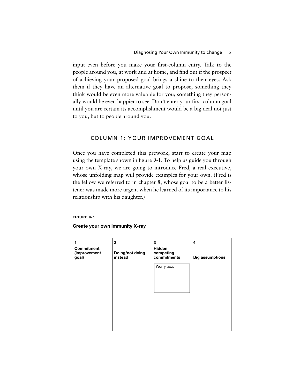input even before you make your first-column entry. Talk to the people around you, at work and at home, and find out if the prospect of achieving your proposed goal brings a shine to their eyes. Ask them if they have an alternative goal to propose, something they think would be even more valuable for you; something they personally would be even happier to see. Don't enter your first-column goal until you are certain its accomplishment would be a big deal not just to you, but to people around you.

#### COLUMN 1: YOUR IMPROVEMENT GOAL

Once you have completed this prework, start to create your map using the template shown in figure 9-1. To help us guide you through your own X-ray, we are going to introduce Fred, a real executive, whose unfolding map will provide examples for your own. (Fred is the fellow we referred to in chapter 8, whose goal to be a better listener was made more urgent when he learned of its importance to his relationship with his daughter.)

**FIGURE 9-1**

#### **Create your own immunity X-ray**

| <b>Commitment</b><br>(improvement<br>goal) | $\mathbf{2}$<br>Doing/not doing<br>instead | 3<br><b>Hidden</b><br>competing<br>commitments | 4<br><b>Big assumptions</b> |
|--------------------------------------------|--------------------------------------------|------------------------------------------------|-----------------------------|
|                                            |                                            | Worry box:                                     |                             |
|                                            |                                            |                                                |                             |
|                                            |                                            |                                                |                             |
|                                            |                                            |                                                |                             |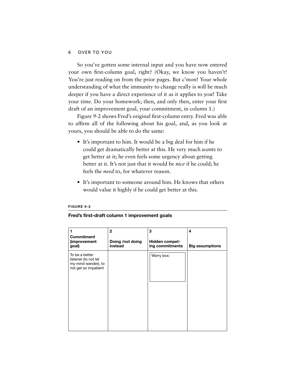So you've gotten some internal input and you have now entered your own first-column goal, right? (Okay, we know you haven't! You're just reading on from the prior pages. But c'mon! Your whole understanding of what the immunity to change really is will be much deeper if you have a direct experience of it as it applies to *you*! Take your time. Do your homework; then, and only then, enter your first draft of an improvement goal, your commitment, in column 1.)

Figure 9-2 shows Fred's original first-column entry. Fred was able to affirm all of the following about his goal, and, as you look at yours, you should be able to do the same:

- It's important to him. It would be a big deal for him if he could get dramatically better at this. He very much *wants* to get better at it; he even feels some urgency about getting better at it. It's not just that it would be *nice* if he could; he feels the *need* to, for whatever reason.
- It's important to someone around him. He knows that others would value it highly if he could get better at this.

#### **FIGURE 9-2**

#### **Fred's first-draft column 1 improvement goals**

| <b>Commitment</b><br>(improvement<br>goal)                                            | $\overline{2}$<br>Doing /not doing<br>instead | 3<br>Hidden compet-<br>ing commitments | 4<br><b>Big assumptions</b> |
|---------------------------------------------------------------------------------------|-----------------------------------------------|----------------------------------------|-----------------------------|
| To be a better<br>listener (to not let<br>my mind wander), to<br>not get so impatient |                                               | Worry box:                             |                             |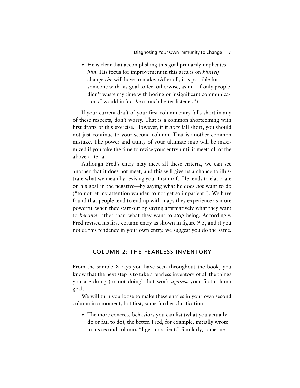• He is clear that accomplishing this goal primarily implicates *him.* His focus for improvement in this area is on *himself,* changes *he* will have to make. (After all, it is possible for someone with his goal to feel otherwise, as in, "If only people didn't waste my time with boring or insignificant communications I would in fact *be* a much better listener.")

If your current draft of your first-column entry falls short in any of these respects, don't worry. That is a common shortcoming with first drafts of this exercise. However, if it *does* fall short, you should not just continue to your second column. That is another common mistake. The power and utility of your ultimate map will be maximized if you take the time to revise your entry until it meets all of the above criteria.

Although Fred's entry may meet all these criteria, we can see another that it does not meet, and this will give us a chance to illustrate what we mean by revising your first draft. He tends to elaborate on his goal in the negative—by saying what he does *not* want to do ("to not let my attention wander, to not get so impatient"). We have found that people tend to end up with maps they experience as more powerful when they start out by saying affirmatively what they want to *become* rather than what they want to *stop* being. Accordingly, Fred revised his first-column entry as shown in figure 9-3, and if you notice this tendency in your own entry, we suggest you do the same.

#### COLUMN 2: THE FEARLESS INVENTORY

From the sample X-rays you have seen throughout the book, you know that the next step is to take a fearless inventory of all the things you are doing (or not doing) that work *against* your first-column goal.

We will turn you loose to make these entries in your own second column in a moment, but first, some further clarification:

• The more concrete behaviors you can list (what you actually do or fail to do), the better. Fred, for example, initially wrote in his second column, "I get impatient." Similarly, someone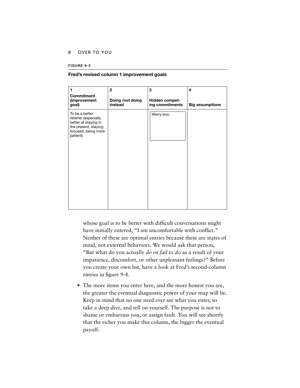#### **FIGURE 9-3**

#### **Fred's revised column 1 improvement goals**

| 1<br><b>Commitment</b><br>(improvement<br>goal)                                                                           | $\mathbf{2}$<br>Doing /not doing<br>instead | 3<br>Hidden compet-<br>ing commitments | 4<br><b>Big assumptions</b> |
|---------------------------------------------------------------------------------------------------------------------------|---------------------------------------------|----------------------------------------|-----------------------------|
| To be a better<br>listener (especially<br>better at staying in<br>the present, staying<br>focused, being more<br>patient) |                                             | Worry box:                             |                             |

whose goal is to be better with difficult conversations might have initially entered, "I am uncomfortable with conflict." Neither of these are optimal entries because these are states of mind, not external behaviors. We would ask that person, "But what do you actually *do* or *fail to do* as a result of your impatience, discomfort, or other unpleasant feelings?" Before you create your own list, have a look at Fred's second-column entries in figure 9-4.

• The more items you enter here, and the more honest you are, the greater the eventual diagnostic power of your map will be. Keep in mind that no one need ever see what you enter, so take a deep dive, and tell on yourself. The purpose is not to shame or embarrass you, or assign fault. You will see shortly that the richer you make this column, the bigger the eventual payoff.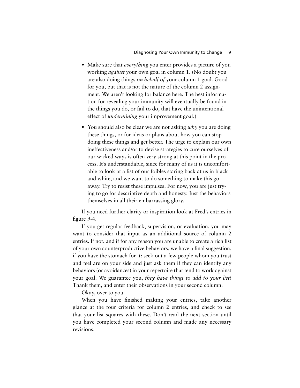- Make sure that *everything* you enter provides a picture of you working *against* your own goal in column 1. (No doubt you are also doing things *on behalf of* your column 1 goal. Good for you, but that is not the nature of the column 2 assignment. We aren't looking for balance here. The best information for revealing your immunity will eventually be found in the things you do, or fail to do, that have the unintentional effect of *undermining* your improvement goal.)
- You should also be clear we are not asking *why* you are doing these things, or for ideas or plans about how you can stop doing these things and get better. The urge to explain our own ineffectiveness and/or to devise strategies to cure ourselves of our wicked ways is often very strong at this point in the process. It's understandable, since for many of us it is uncomfortable to look at a list of our foibles staring back at us in black and white, and we want to do something to make this go away. Try to resist these impulses. For now, you are just trying to go for descriptive depth and honesty. Just the behaviors themselves in all their embarrassing glory.

If you need further clarity or inspiration look at Fred's entries in figure 9-4.

If you get regular feedback, supervision, or evaluation, you may want to consider that input as an additional source of column 2 entries. If not, and if for any reason you are unable to create a rich list of your own counterproductive behaviors, we have a final suggestion, if you have the stomach for it: seek out a few people whom you trust and feel are on your side and just ask them if they can identify any behaviors (or avoidances) in your repertoire that tend to work against your goal. We guarantee you, *they have things to add to your list!* Thank them, and enter their observations in your second column.

Okay, over to you.

When you have finished making your entries, take another glance at the four criteria for column 2 entries, and check to see that your list squares with these. Don't read the next section until you have completed your second column and made any necessary revisions.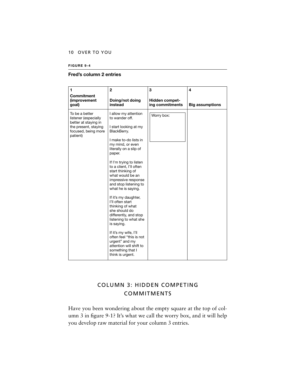#### **FIGURE 9-4**

#### **Fred's column 2 entries**

| 1<br>Commitment                                                                                                           | $\overline{2}$                                                                                                                                                                                                                                                                                                                                                                                                                                                                                                                                                                                                                 | 3                                 | 4                      |
|---------------------------------------------------------------------------------------------------------------------------|--------------------------------------------------------------------------------------------------------------------------------------------------------------------------------------------------------------------------------------------------------------------------------------------------------------------------------------------------------------------------------------------------------------------------------------------------------------------------------------------------------------------------------------------------------------------------------------------------------------------------------|-----------------------------------|------------------------|
| <i>(improvement</i> )<br>goal)                                                                                            | Doing/not doing<br>instead                                                                                                                                                                                                                                                                                                                                                                                                                                                                                                                                                                                                     | Hidden compet-<br>ing commitments | <b>Big assumptions</b> |
| To be a better<br>listener (especially<br>better at staying in<br>the present, staying<br>focused, being more<br>patient) | I allow my attention<br>to wander off.<br>I start looking at my<br>BlackBerry.<br>I make to-do lists in<br>my mind, or even<br>literally on a slip of<br>paper.<br>If I'm trying to listen<br>to a client, I'll often<br>start thinking of<br>what would be an<br>impressive response<br>and stop listening to<br>what he is saying.<br>If it's my daughter,<br>I'll often start<br>thinking of what<br>she should do<br>differently, and stop<br>listening to what she<br>is saying.<br>If it's my wife, I'll<br>often feel "this is not<br>urgent" and my<br>attention will shift to<br>something that I<br>think is urgent. | Worry box:                        |                        |

### COLUMN 3: HIDDEN COMPETING COMMITMENTS

Have you been wondering about the empty square at the top of column 3 in figure 9-1? It's what we call the worry box, and it will help you develop raw material for your column 3 entries.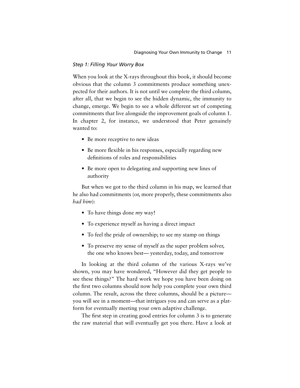#### *Step 1: Filling Your Worry Box*

When you look at the X-rays throughout this book, it should become obvious that the column 3 commitments produce something unexpected for their authors. It is not until we complete the third column, after all, that we begin to see the hidden dynamic, the immunity to change, emerge. We begin to see a whole different set of competing commitments that live alongside the improvement goals of column 1. In chapter 2, for instance, we understood that Peter genuinely wanted to:

- Be more receptive to new ideas
- Be more flexible in his responses, especially regarding new definitions of roles and responsibilities
- Be more open to delegating and supporting new lines of authority

But when we got to the third column in his map, we learned that he also had commitments (or, more properly, these commitments also *had him*):

- To have things done *my* way!
- To experience myself as having a direct impact
- To feel the pride of ownership; to see my stamp on things
- To preserve my sense of myself as the super problem solver, the one who knows best— yesterday, today, and tomorrow

In looking at the third column of the various X-rays we've shown, you may have wondered, "However did they get people to see these things?" The hard work we hope you have been doing on the first two columns should now help you complete your own third column. The result, across the three columns, should be a picture you will see in a moment—that intrigues you and can serve as a platform for eventually meeting your own adaptive challenge.

The first step in creating good entries for column 3 is to generate the raw material that will eventually get you there. Have a look at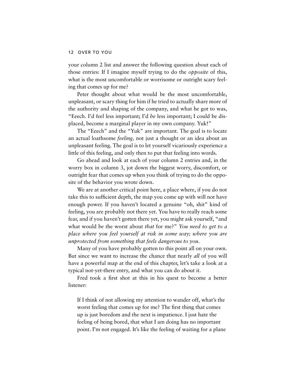your column 2 list and answer the following question about each of those entries: If I imagine myself trying to do the *opposite* of this, what is the most uncomfortable or worrisome or outright scary feeling that comes up for me?

Peter thought about what would be the most uncomfortable, unpleasant, or scary thing for him if he tried to actually share more of the authority and shaping of the company, and what he got to was, "Eeech. I'd feel less important; I'd *be* less important; I could be displaced, become a marginal player in my own company. Yuk!"

The "Eeech" and the "Yuk" are important. The goal is to locate an actual loathsome *feeling,* not just a thought or an idea about an unpleasant feeling. The goal is to let yourself vicariously experience a little of this feeling, and only then to put that feeling into words.

Go ahead and look at each of your column 2 entries and, in the worry box in column 3, jot down the biggest worry, discomfort, or outright fear that comes up when you think of trying to do the opposite of the behavior you wrote down.

We are at another critical point here, a place where, if you do not take this to sufficient depth, the map you come up with will not have enough power. If you haven't located a genuine "oh, shit" kind of feeling, you are probably not there yet. You have to really reach some fear, and if you haven't gotten there yet, you might ask yourself, "and what would be the worst about *that* for me?" *You need to get to a place where you feel yourself at risk in some way; where you are unprotected from something that feels dangerous to you.*

Many of you have probably gotten to this point all on your own. But since we want to increase the chance that nearly *all* of you will have a powerful map at the end of this chapter, let's take a look at a typical not-yet-there entry, and what you can do about it.

Fred took a first shot at this in his quest to become a better listener:

If I think of not allowing my attention to wander off, what's the worst feeling that comes up for me? The first thing that comes up is just boredom and the next is impatience. I just hate the feeling of being bored, that what I am doing has no important point. I'm not engaged. It's like the feeling of waiting for a plane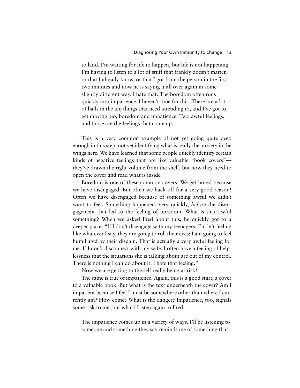to land. I'm waiting for life to happen, but life is not happening. I'm having to listen to a lot of stuff that frankly doesn't matter, or that I already know, or that I got from the person in the first two minutes and now he is saying it all over again in some slightly different way. I hate that. The boredom often runs quickly into impatience. I haven't time for this. There are a lot of balls in the air, things that need attending to, and I've got to get moving. So, boredom and impatience. Two awful feelings, and those are the feelings that come up.

This is a very common example of not yet going quite deep enough in this step, not yet identifying what is really the anxiety in the wings here. We have learned that some people quickly identify certain kinds of negative feelings that are like valuable "book covers" they've drawn the right volume from the shelf, but now they need to open the cover and read what is inside.

Boredom is one of these common covers. We get bored because we have disengaged. But often we back off for a very good reason! Often we have disengaged because of something awful we didn't want to feel. Something happened, very quickly, *before* the disengagement that led to the feeling of boredom. What is that awful something? When we asked Fred about this, he quickly got to a deeper place: "If I don't disengage with my teenagers, I'm left feeling like whatever I say, they are going to roll their eyes; I am going to feel humiliated by their disdain. That is actually a very awful feeling for me. If I don't disconnect with my wife, I often have a feeling of helplessness that the situations she is talking about are out of my control. There is nothing I can do about it. I hate that feeling."

Now we are getting to the self really being at risk!

The same is true of impatience. Again, this is a good start; a cover to a valuable book. But what is the text underneath the cover? Am I impatient because I feel I must be somewhere other than where I currently am? How come? What is the danger? Impatience, too, signals some risk to me, but what? Listen again to Fred:

The impatience comes up in a variety of ways. I'll be listening to someone and something they say reminds me of something that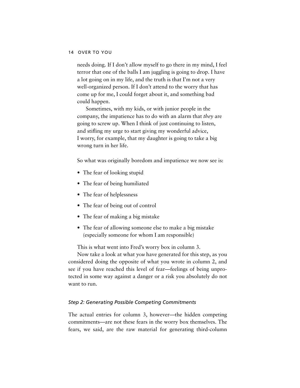needs doing. If I don't allow myself to go there in my mind, I feel terror that one of the balls I am juggling is going to drop. I have a lot going on in my life, and the truth is that I'm not a very well-organized person. If I don't attend to the worry that has come up for me, I could forget about it, and something bad could happen.

Sometimes, with my kids, or with junior people in the company, the impatience has to do with an alarm that *they* are going to screw up. When I think of just continuing to listen, and stifling my urge to start giving my wonderful advice, I worry, for example, that my daughter is going to take a big wrong turn in her life.

So what was originally boredom and impatience we now see is:

- The fear of looking stupid
- The fear of being humiliated
- The fear of helplessness
- The fear of being out of control
- The fear of making a big mistake
- The fear of allowing someone else to make a big mistake (especially someone for whom I am responsible)

This is what went into Fred's worry box in column 3.

Now take a look at what *you* have generated for this step, as you considered doing the opposite of what you wrote in column 2, and see if you have reached this level of fear—feelings of being unprotected in some way against a danger or a risk you absolutely do not want to run.

#### *Step 2: Generating Possible Competing Commitments*

The actual entries for column 3, however—the hidden competing commitments—are not these fears in the worry box themselves. The fears, we said, are the raw material for generating third-column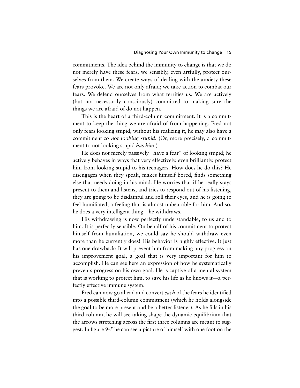commitments. The idea behind the immunity to change is that we do not merely have these fears; we sensibly, even artfully, protect ourselves from them. We create ways of dealing with the anxiety these fears provoke. We are not only afraid; we take action to combat our fears. We defend ourselves from what terrifies us. We are actively (but not necessarily consciously) committed to making sure the things we are afraid of do not happen.

This is the heart of a third-column commitment. It is a commitment to keep the thing we are afraid of from happening. Fred not only fears looking stupid; without his realizing it, he may also have a commitment *to not looking stupid*. (Or, more precisely, a commitment to not looking stupid *has him*.)

He does not merely passively "have a fear" of looking stupid; he actively behaves in ways that very effectively, even brilliantly, protect him from looking stupid to his teenagers. How does he do this? He disengages when they speak, makes himself bored, finds something else that needs doing in his mind. He worries that if he really stays present to them and listens, and tries to respond out of his listening, they are going to be disdainful and roll their eyes, and he is going to feel humiliated, a feeling that is almost unbearable for him. And so, he does a very intelligent thing—he withdraws.

His withdrawing is now perfectly understandable, to us and to him. It is perfectly sensible. On behalf of his commitment to protect himself from humiliation, we could say he should withdraw even more than he currently does! His behavior is highly effective. It just has one drawback: It will prevent him from making any progress on his improvement goal, a goal that is very important for him to accomplish. He can see here an expression of how he systematically prevents progress on his own goal. He is captive of a mental system that is working to protect him, to save his life as he knows it—a perfectly effective immune system.

Fred can now go ahead and convert *each* of the fears he identified into a possible third-column commitment (which he holds alongside the goal to be more present and be a better listener). As he fills in his third column, he will see taking shape the dynamic equilibrium that the arrows stretching across the first three columns are meant to suggest. In figure 9-5 he can see a picture of himself with one foot on the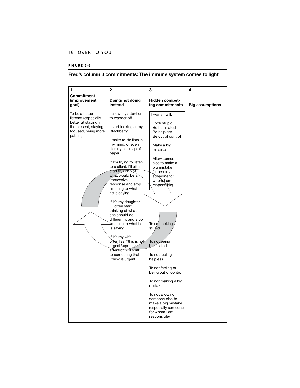#### **FIGURE 9-5**

### **Fred's column 3 commitments: The immune system comes to light**

| 1                                                                                                                         | $\mathbf{2}$                                                                                                                                                                                                                                                                                                                                                                                                                                                                                                                                                                                                                            | 3                                                                                                                                                                                                                                                                                                                                                                                                                                                                                                                  | 4                      |
|---------------------------------------------------------------------------------------------------------------------------|-----------------------------------------------------------------------------------------------------------------------------------------------------------------------------------------------------------------------------------------------------------------------------------------------------------------------------------------------------------------------------------------------------------------------------------------------------------------------------------------------------------------------------------------------------------------------------------------------------------------------------------------|--------------------------------------------------------------------------------------------------------------------------------------------------------------------------------------------------------------------------------------------------------------------------------------------------------------------------------------------------------------------------------------------------------------------------------------------------------------------------------------------------------------------|------------------------|
| Commitment<br><i>(improvement</i> )<br>goal)                                                                              | Doing/not doing<br>instead                                                                                                                                                                                                                                                                                                                                                                                                                                                                                                                                                                                                              | Hidden compet-<br>ing commitments                                                                                                                                                                                                                                                                                                                                                                                                                                                                                  | <b>Big assumptions</b> |
| To be a better<br>listener (especially<br>better at staying in<br>the present, staying<br>focused, being more<br>patient) | I allow my attention<br>to wander off.<br>I start looking at my<br>Blackberry.<br>I make to-do lists in<br>my mind, or even<br>literally on a slip of<br>paper.<br>If I'm trying to listen<br>to a client, I'll often<br>start thinking of<br>what would be an<br>impressive<br>response and stop<br>listening to what<br>he is saying.<br>If it's my daughter,<br>I'll often start<br>thinking of what<br>she should do<br>differently, and stop<br><b>listening to what he</b><br>is saying.<br>√t it's my wife, I'll<br>often feel "this is not<br>urgent" and my<br>attention will shift<br>to something that<br>I think is urgent. | I worry I will:<br>Look stupid<br>Be humiliated<br>Be helpless<br>Be out of control<br>Make a big<br>mistake<br>Allow someone<br>else to make a<br>big mistake<br>(especially<br>someone for<br>whom am<br>responsible)<br>To not looking<br>stupid<br>To not being<br>humiliated<br>To not feeling<br>helpless<br>To not feeling or<br>being out of control<br>To not making a big<br>mistake<br>To not allowing<br>someone else to<br>make a big mistake<br>(especially someone<br>for whom I am<br>responsible) |                        |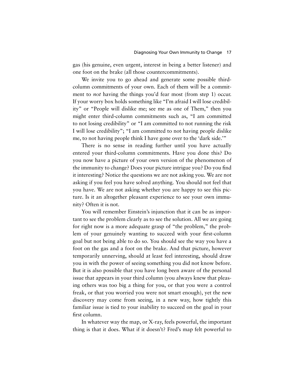gas (his genuine, even urgent, interest in being a better listener) and one foot on the brake (all those countercommitments).

We invite you to go ahead and generate some possible thirdcolumn commitments of your own. Each of them will be a commitment to *not* having the things you'd fear most (from step 1) occur. If your worry box holds something like "I'm afraid I will lose credibility" or "People will dislike me; see me as one of Them," then you might enter third-column commitments such as, "I am committed to not losing credibility" or "I am committed to not running the risk I will lose credibility"; "I am committed to not having people dislike me, to not having people think I have gone over to the 'dark side.'"

There is no sense in reading further until you have actually entered your third-column commitments. Have you done this? Do you now have a picture of your own version of the phenomenon of the immunity to change? Does your picture intrigue you? Do you find it interesting? Notice the questions we are not asking you. We are not asking if you feel you have solved anything. You should not feel that you have. We are not asking whether you are happy to see this picture. Is it an altogether pleasant experience to see your own immunity? Often it is not.

You will remember Einstein's injunction that it can be as important to see the problem clearly as to see the solution. All we are going for right now is a more adequate grasp of "the problem," the problem of your genuinely wanting to succeed with your first-column goal but not being able to do so. You should see the way you have a foot on the gas and a foot on the brake. And that picture, however temporarily unnerving, should at least feel interesting, should draw you in with the power of seeing something you did not know before. But it is also possible that you have long been aware of the personal issue that appears in your third column (you always knew that pleasing others was too big a thing for you, or that you were a control freak, or that you worried you were not smart enough), yet the new discovery may come from seeing, in a new way, how tightly this familiar issue is tied to your inability to succeed on the goal in your first column.

In whatever way the map, or X-ray, feels powerful, the important thing is that it does. What if it doesn't? Fred's map felt powerful to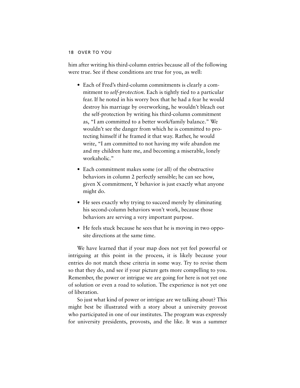him after writing his third-column entries because all of the following were true. See if these conditions are true for you, as well:

- Each of Fred's third-column commitments is clearly a commitment to *self-protection.* Each is tightly tied to a particular fear. If he noted in his worry box that he had a fear he would destroy his marriage by overworking, he wouldn't bleach out the self-protection by writing his third-column commitment as, "I am committed to a better work/family balance." We wouldn't see the danger from which he is committed to protecting himself if he framed it that way. Rather, he would write, "I am committed to not having my wife abandon me and my children hate me, and becoming a miserable, lonely workaholic."
- Each commitment makes some (or all) of the obstructive behaviors in column 2 perfectly sensible; he can see how, given X commitment, Y behavior is just exactly what anyone might do.
- He sees exactly why trying to succeed merely by eliminating his second-column behaviors won't work, because those behaviors are serving a very important purpose.
- He feels stuck because he sees that he is moving in two opposite directions at the same time.

We have learned that if your map does not yet feel powerful or intriguing at this point in the process, it is likely because your entries do not match these criteria in some way. Try to revise them so that they do, and see if your picture gets more compelling to you. Remember, the power or intrigue we are going for here is not yet one of solution or even a road to solution. The experience is not yet one of liberation.

So just what kind of power or intrigue are we talking about? This might best be illustrated with a story about a university provost who participated in one of our institutes. The program was expressly for university presidents, provosts, and the like. It was a summer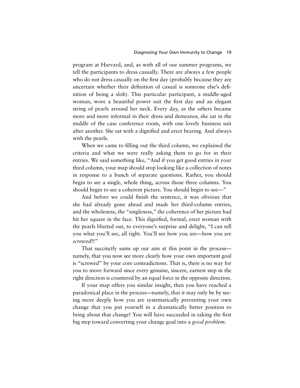program at Harvard, and, as with all of our summer programs, we tell the participants to dress casually. There are always a few people who do not dress casually on the first day (probably because they are uncertain whether their definition of casual is someone else's definition of being a slob). This particular participant, a middle-aged woman, wore a beautiful power suit the first day and an elegant string of pearls around her neck. Every day, as the others became more and more informal in their dress and demeanor, she sat in the middle of the case conference room, with one lovely business suit after another. She sat with a dignified and erect bearing. And always with the pearls.

When we came to filling out the third column, we explained the criteria and what we were really asking them to go for in their entries. We said something like, "And if you get good entries in your third column, your map should stop looking like a collection of notes in response to a bunch of separate questions. Rather, you should begin to see a single, whole thing, across those three columns. You should begin to see a coherent picture. You should begin to see—"

And before we could finish the sentence, it was obvious that she had already gone ahead and made her third-column entries, and the wholeness, the "singleness," the coherence of her picture had hit her square in the face. This dignified, formal, erect woman with the pearls blurted out, to everyone's surprise and delight, "I can tell you what you'll see, all right. You'll see how you are—how you are *screwed*!!"

That succinctly sums up our aim at this point in the process namely, that you now see more clearly how your own important goal is "screwed" by your core contradictions. That is, there is no way for you to move forward since every genuine, sincere, earnest step in the right direction is countered by an equal force in the opposite direction.

If your map offers you similar insight, then you have reached a paradoxical place in the process—namely, that it may only be by seeing more deeply how you are systematically preventing your own change that you put yourself in a dramatically better position to bring about that change! You will have succeeded in taking the first big step toward converting your change goal into a *good problem*.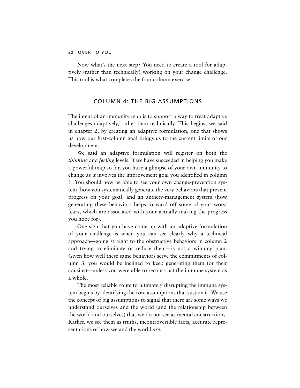Now what's the next step? You need to create a tool for adaptively (rather than technically) working on your change challenge. This tool is what completes the four-column exercise.

#### COLUMN 4: THE BIG ASSUMPTIONS

The intent of an immunity map is to support a way to treat adaptive challenges adaptively, rather than technically. This begins, we said in chapter 2, by creating an adaptive formulation, one that shows us how our first-column goal brings us to the current limits of our development.

We said an adaptive formulation will register on both the *thinking* and *feeling* levels. If we have succeeded in helping you make a powerful map so far, you have a glimpse of your own immunity to change as it involves the improvement goal you identified in column 1. You should now be able to see your own change-prevention system (how you systematically generate the very behaviors that prevent progress on your goal) and an anxiety-management system (how generating these behaviors helps to ward off some of your worst fears, which are associated with your actually making the progress you hope for).

One sign that you have come up with an adaptive formulation of your challenge is when you can see clearly why a technical approach—going straight to the obstructive behaviors in column 2 and trying to eliminate or reduce them—is not a winning plan. Given how well these same behaviors serve the commitments of column 3, you would be inclined to keep generating them (or their cousins)—unless you were able to reconstruct the immune system as a whole.

The most reliable route to ultimately disrupting the immune system begins by identifying the core assumptions that sustain it. We use the concept of big assumptions to signal that there are some ways we understand ourselves and the world (and the relationship between the world and ourselves) that we do not see as mental constructions. Rather, we see them as truths, incontrovertible facts, accurate representations of how we and the world *are*.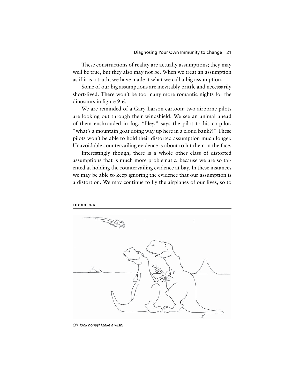These constructions of reality are actually assumptions; they may well be true, but they also may not be. When we treat an assumption as if it is a truth, we have made it what we call a big assumption.

Some of our big assumptions are inevitably brittle and necessarily short-lived. There won't be too many more romantic nights for the dinosaurs in figure 9-6.

We are reminded of a Gary Larson cartoon: two airborne pilots are looking out through their windshield. We see an animal ahead of them enshrouded in fog. "Hey," says the pilot to his co-pilot, "what's a mountain goat doing way up here in a cloud bank?!" These pilots won't be able to hold their distorted assumption much longer. Unavoidable countervailing evidence is about to hit them in the face.

Interestingly though, there is a whole other class of distorted assumptions that is much more problematic, because we are so talented at holding the countervailing evidence at bay. In these instances we may be able to keep ignoring the evidence that our assumption is a distortion. We may continue to fly the airplanes of our lives, so to

#### **FIGURE 9-6**



*Oh, look honey! Make a wish!*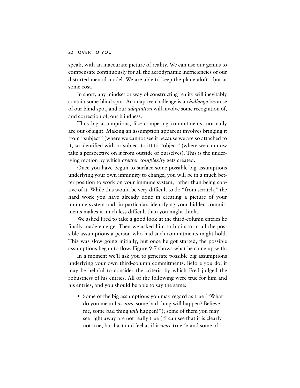speak, with an inaccurate picture of reality. We can use our genius to compensate continuously for all the aerodynamic inefficiencies of our distorted mental model. We are able to keep the plane aloft—but at some cost.

In short, any mindset or way of constructing reality will inevitably contain some blind spot. An adaptive challenge is a *challenge* because of our blind spot, and our *adaptation* will involve some recognition of, and correction of, our blindness.

Thus big assumptions, like competing commitments, normally are out of sight. Making an assumption apparent involves bringing it from "subject" (where we cannot see it because we are so attached to it, so identified with or subject to it) to "object" (where we can now take a perspective on it from outside of ourselves). This is the underlying motion by which *greater complexity* gets created.

Once you have begun to surface some possible big assumptions underlying your own immunity to change, you will be in a much better position to work on your immune system, rather than being captive of it. While this would be very difficult to do "from scratch," the hard work you have already done in creating a picture of your immune system and, in particular, identifying your hidden commitments makes it much less difficult than you might think.

We asked Fred to take a good look at the third-column entries he finally made emerge. Then we asked him to brainstorm all the possible assumptions a person who had such commitments might hold. This was slow going initially, but once he got started, the possible assumptions began to flow. Figure 9-7 shows what he came up with.

In a moment we'll ask you to generate possible big assumptions underlying your own third-column commitments. Before you do, it may be helpful to consider the criteria by which Fred judged the robustness of his entries. All of the following were true for him and his entries, and you should be able to say the same:

• Some of the big assumptions you may regard as true ("What do you mean I *assume* some bad thing will happen? Believe me, some bad thing *will* happen!"); some of them you may see right away are not really true ("I can see that it is clearly not true, but I act and feel as if it *were* true"); and some of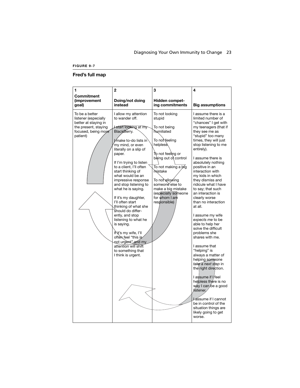#### **FIGURE 9-7**

#### **Fred's full map**

| 1                                                                                                                         | $\overline{2}$                                                                                                                                                                                                                                                                                                                                                                                                                                                                                                                                                                                                                 | 3                                                                                                                                                                                                                                                                                                     | 4                                                                                                                                                                                                                                                                                                                                                                                                                                                                                                                                                                                                                                                                                                                                                                                                                                                                                         |
|---------------------------------------------------------------------------------------------------------------------------|--------------------------------------------------------------------------------------------------------------------------------------------------------------------------------------------------------------------------------------------------------------------------------------------------------------------------------------------------------------------------------------------------------------------------------------------------------------------------------------------------------------------------------------------------------------------------------------------------------------------------------|-------------------------------------------------------------------------------------------------------------------------------------------------------------------------------------------------------------------------------------------------------------------------------------------------------|-------------------------------------------------------------------------------------------------------------------------------------------------------------------------------------------------------------------------------------------------------------------------------------------------------------------------------------------------------------------------------------------------------------------------------------------------------------------------------------------------------------------------------------------------------------------------------------------------------------------------------------------------------------------------------------------------------------------------------------------------------------------------------------------------------------------------------------------------------------------------------------------|
| Commitment<br><i>(improvement</i><br>goal)                                                                                | Doing/not doing<br>instead                                                                                                                                                                                                                                                                                                                                                                                                                                                                                                                                                                                                     | Hidden compet-<br>ing commitments                                                                                                                                                                                                                                                                     | <b>Big assumptions</b>                                                                                                                                                                                                                                                                                                                                                                                                                                                                                                                                                                                                                                                                                                                                                                                                                                                                    |
| To be a better<br>listener (especially<br>better at staying in<br>the present, staying<br>focused, being more<br>patient) | I allow my attention<br>to wander off.<br>I-start looking at my<br>BlackBerry.<br>Vmake to-do lists in<br>my mind, or even<br>literally on a slip of<br>paper.<br>If I'm trying to listen<br>to a client, I'll often<br>start thinking of<br>what would be an<br>impressive response<br>and stop listening to<br>what he is saying.<br>If it's my daughter,<br>I'll often start<br>thinking of what she<br>should do differ-<br>ently, and stop<br>listening to what he<br>is saying.<br>If`it's my wife, I'll<br>often feel "this is<br>not urgent" and my<br>attention will shift<br>to something that<br>I think is urgent. | To not looking<br>stupid<br>To not being<br>humiliated<br>To not feeling<br>helpless<br>To not feeling or<br>being out of control<br>To not making a $\cancel{\phi}$ g<br>mistake<br>To not allowing<br>someone else to<br>make a big mistake<br>(especially someone<br>for whom I am<br>responsible) | I assume there is a<br>limited number of<br>"chances" I get with<br>my teenagers (that if<br>they see me as<br>"stupid" too many<br>times, they will just<br>stop listening to me<br>entirely).<br>I assume there is<br>absolutely nothing<br>positive in an<br>interaction with<br>my kids in which<br>they dismiss and<br>ridicule what I have<br>to say; that such<br>an interaction is<br>clearly worse<br>than no interaction<br>at all.<br>I assume my wife<br>expects me to be<br>able to help her<br>solve the difficult<br>problems she<br>shares with me.<br>I assume that<br>"helping" is<br>always a matter of<br>helping someone<br>take a next step in<br>the right direction.<br>I assume if I/feel<br>helpless there is no<br>way I can be a good<br>l⁄istener. ∕<br>Lassume if I cannot<br>be in control of the<br>situation things are<br>likely going to get<br>worse. |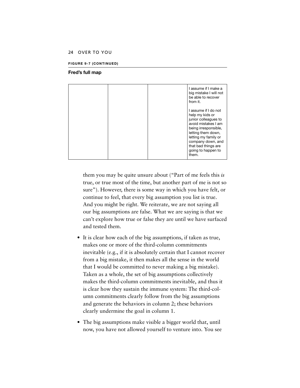#### **FIGURE 9-7 (CONTINUED)**

#### **Fred's full map**

|  | I assume if I make a<br>big mistake I will not<br>be able to recover<br>from it.                                                                                                                                                        |
|--|-----------------------------------------------------------------------------------------------------------------------------------------------------------------------------------------------------------------------------------------|
|  | I assume if I do not<br>help my kids or<br>junior colleagues to<br>avoid mistakes I am<br>being irresponsible,<br>letting them down,<br>letting my family or<br>company down, and<br>that bad things are<br>going to happen to<br>them. |

them you may be quite unsure about ("Part of me feels this *is* true, or true most of the time, but another part of me is not so sure"). However, there is some way in which you have felt, or continue to feel, that every big assumption you list is true. And you might be right. We reiterate, we are not saying all our big assumptions are false. What we are saying is that we can't explore how true or false they are until we have surfaced and tested them.

- It is clear how each of the big assumptions, if taken as true, makes one or more of the third-column commitments inevitable (e.g., if it is absolutely certain that I cannot recover from a big mistake, it then makes all the sense in the world that I would be committed to never making a big mistake). Taken as a whole, the set of big assumptions collectively makes the third-column commitments inevitable, and thus it is clear how they sustain the immune system: The third-column commitments clearly follow from the big assumptions and generate the behaviors in column 2; these behaviors clearly undermine the goal in column 1.
- The big assumptions make visible a bigger world that, until now, you have not allowed yourself to venture into. You see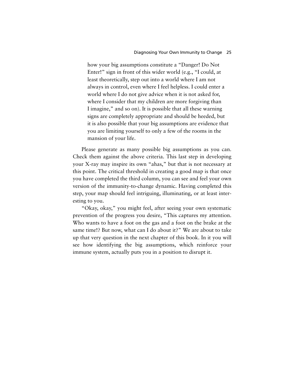how your big assumptions constitute a "Danger! Do Not Enter!" sign in front of this wider world (e.g., "I could, at least theoretically, step out into a world where I am not always in control, even where I feel helpless. I could enter a world where I do not give advice when it is not asked for, where I consider that my children are more forgiving than I imagine," and so on). It is possible that all these warning signs are completely appropriate and should be heeded, but it is also possible that your big assumptions are evidence that you are limiting yourself to only a few of the rooms in the mansion of your life.

Please generate as many possible big assumptions as you can. Check them against the above criteria. This last step in developing your X-ray may inspire its own "ahas," but that is not necessary at this point. The critical threshold in creating a good map is that once you have completed the third column, you can see and feel your own version of the immunity-to-change dynamic. Having completed this step, your map should feel intriguing, illuminating, or at least interesting to you.

"Okay, okay," you might feel, after seeing your own systematic prevention of the progress you desire, "This captures my attention. Who wants to have a foot on the gas and a foot on the brake at the same time!? But now, what can I do about it?" We are about to take up that very question in the next chapter of this book. In it you will see how identifying the big assumptions, which reinforce your immune system, actually puts you in a position to disrupt it.